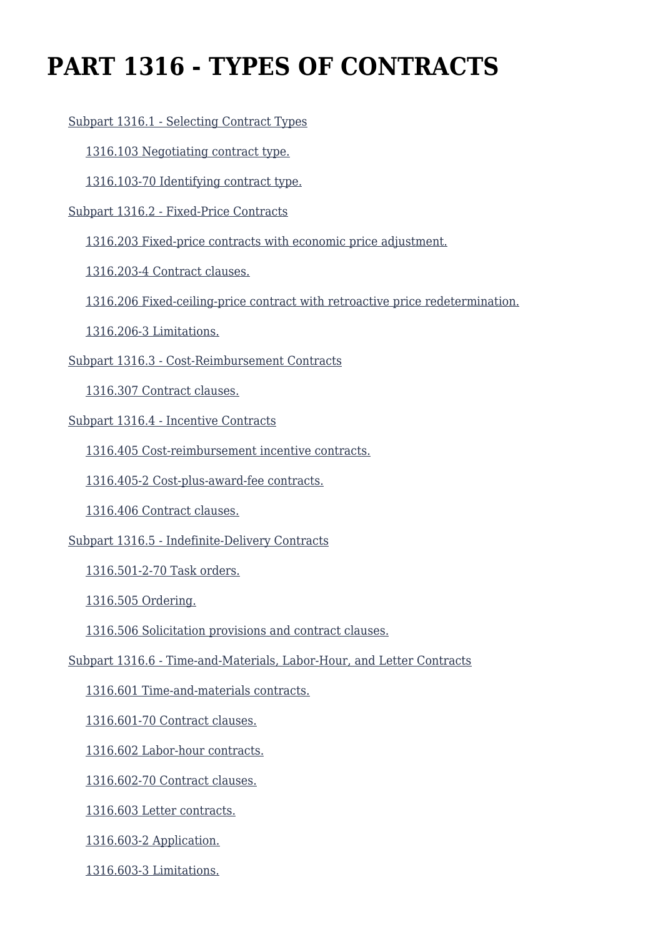# **PART 1316 - TYPES OF CONTRACTS**

[Subpart 1316.1 - Selecting Contract Types](https://login.acquisition.gov/%5Brp:link:car-part-1316%5D#Subpart_1316_1_T48_50645161)

[1316.103 Negotiating contract type.](https://login.acquisition.gov/%5Brp:link:car-part-1316%5D#Section_1316_103_T48_5064516111)

[1316.103-70 Identifying contract type.](https://login.acquisition.gov/%5Brp:link:car-part-1316%5D#Section_1316_103_70_T48_5064516112)

[Subpart 1316.2 - Fixed-Price Contracts](https://login.acquisition.gov/%5Brp:link:car-part-1316%5D#Subpart_1316_2_T48_50645162)

[1316.203 Fixed-price contracts with economic price adjustment.](https://login.acquisition.gov/%5Brp:link:car-part-1316%5D#Section_1316_203_T48_5064516211)

[1316.203-4 Contract clauses.](https://login.acquisition.gov/%5Brp:link:car-part-1316%5D#Section_1316_203_4_T48_5064516212)

[1316.206 Fixed-ceiling-price contract with retroactive price redetermination.](https://login.acquisition.gov/%5Brp:link:car-part-1316%5D#Section_1316_206_T48_5064516213)

[1316.206-3 Limitations.](https://login.acquisition.gov/%5Brp:link:car-part-1316%5D#Section_1316_206_3_T48_5064516214)

[Subpart 1316.3 - Cost-Reimbursement Contracts](https://login.acquisition.gov/%5Brp:link:car-part-1316%5D#Subpart_1316_3_T48_50645163)

[1316.307 Contract clauses.](https://login.acquisition.gov/%5Brp:link:car-part-1316%5D#Section_1316_307_T48_5064516311)

[Subpart 1316.4 - Incentive Contracts](https://login.acquisition.gov/%5Brp:link:car-part-1316%5D#Subpart_1316_4_T48_50645164)

[1316.405 Cost-reimbursement incentive contracts.](https://login.acquisition.gov/%5Brp:link:car-part-1316%5D#Section_1316_405_T48_5064516411)

[1316.405-2 Cost-plus-award-fee contracts.](https://login.acquisition.gov/%5Brp:link:car-part-1316%5D#Section_1316_405_2_T48_5064516412)

[1316.406 Contract clauses.](https://login.acquisition.gov/%5Brp:link:car-part-1316%5D#Section_1316_406_T48_5064516413)

[Subpart 1316.5 - Indefinite-Delivery Contracts](https://login.acquisition.gov/%5Brp:link:car-part-1316%5D#Subpart_1316_5_T48_50645165)

[1316.501-2-70 Task orders.](https://login.acquisition.gov/%5Brp:link:car-part-1316%5D#Section_1316_501_2_70_T48_5064516511)

[1316.505 Ordering.](https://login.acquisition.gov/%5Brp:link:car-part-1316%5D#Section_1316_505_T48_5064516512)

[1316.506 Solicitation provisions and contract clauses.](https://login.acquisition.gov/%5Brp:link:car-part-1316%5D#Section_1316_506_T48_5064516513)

[Subpart 1316.6 - Time-and-Materials, Labor-Hour, and Letter Contracts](https://login.acquisition.gov/%5Brp:link:car-part-1316%5D#Subpart_1316_6_T48_50645166)

[1316.601 Time-and-materials contracts.](https://login.acquisition.gov/%5Brp:link:car-part-1316%5D#Section_1316_601_T48_5064516611)

[1316.601-70 Contract clauses.](https://login.acquisition.gov/%5Brp:link:car-part-1316%5D#Section_1316_601_70_T48_5064516612)

[1316.602 Labor-hour contracts.](https://login.acquisition.gov/%5Brp:link:car-part-1316%5D#Section_1316_602_T48_5064516613)

[1316.602-70 Contract clauses.](https://login.acquisition.gov/%5Brp:link:car-part-1316%5D#Section_1316_602_70_T48_5064516614)

[1316.603 Letter contracts.](https://login.acquisition.gov/%5Brp:link:car-part-1316%5D#Section_1316_603_T48_5064516615)

[1316.603-2 Application.](https://login.acquisition.gov/%5Brp:link:car-part-1316%5D#Section_1316_603_2_T48_5064516616)

[1316.603-3 Limitations.](https://login.acquisition.gov/%5Brp:link:car-part-1316%5D#Section_1316_603_3_T48_5064516617)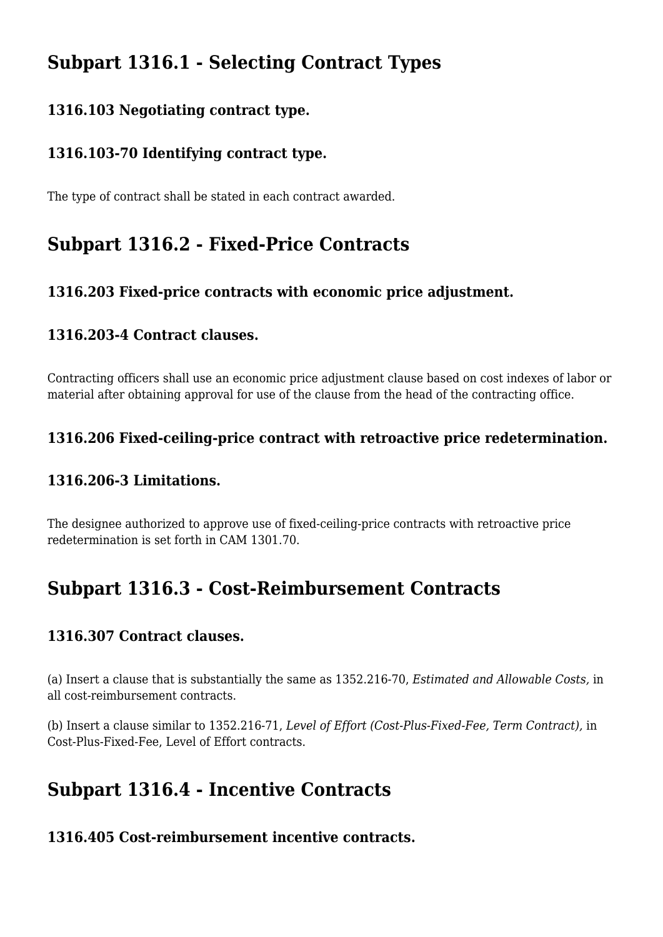# **Subpart 1316.1 - Selecting Contract Types**

### **1316.103 Negotiating contract type.**

### **1316.103-70 Identifying contract type.**

The type of contract shall be stated in each contract awarded.

# **Subpart 1316.2 - Fixed-Price Contracts**

### **1316.203 Fixed-price contracts with economic price adjustment.**

#### **1316.203-4 Contract clauses.**

Contracting officers shall use an economic price adjustment clause based on cost indexes of labor or material after obtaining approval for use of the clause from the head of the contracting office.

### **1316.206 Fixed-ceiling-price contract with retroactive price redetermination.**

#### **1316.206-3 Limitations.**

The designee authorized to approve use of fixed-ceiling-price contracts with retroactive price redetermination is set forth in CAM 1301.70.

# **Subpart 1316.3 - Cost-Reimbursement Contracts**

#### **1316.307 Contract clauses.**

(a) Insert a clause that is substantially the same as 1352.216-70, *Estimated and Allowable Costs,* in all cost-reimbursement contracts.

(b) Insert a clause similar to 1352.216-71, *Level of Effort (Cost-Plus-Fixed-Fee, Term Contract),* in Cost-Plus-Fixed-Fee, Level of Effort contracts.

## **Subpart 1316.4 - Incentive Contracts**

#### **1316.405 Cost-reimbursement incentive contracts.**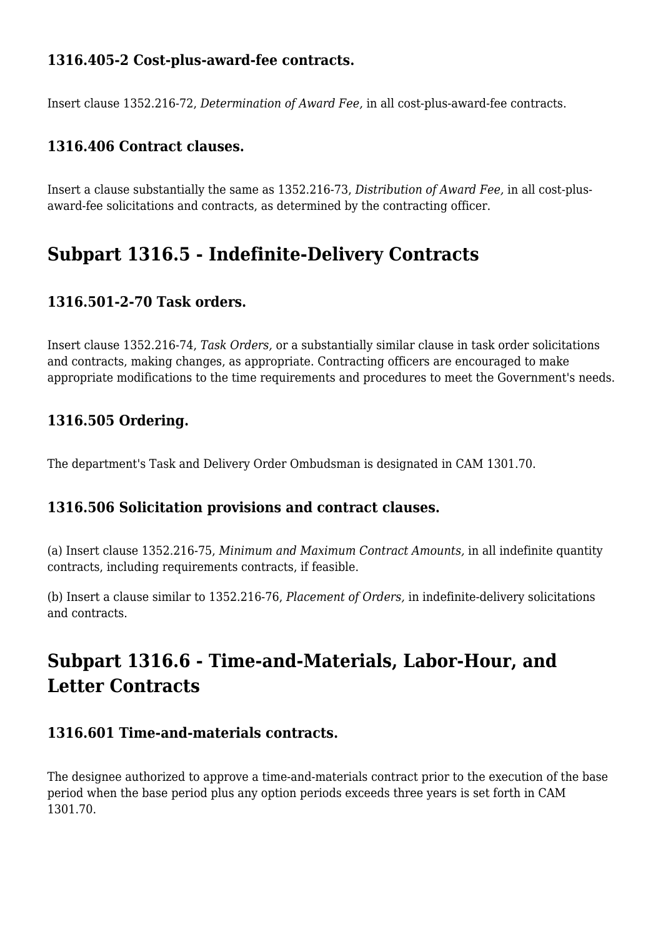### **1316.405-2 Cost-plus-award-fee contracts.**

Insert clause 1352.216-72, *Determination of Award Fee,* in all cost-plus-award-fee contracts.

### **1316.406 Contract clauses.**

Insert a clause substantially the same as 1352.216-73, *Distribution of Award Fee,* in all cost-plusaward-fee solicitations and contracts, as determined by the contracting officer.

# **Subpart 1316.5 - Indefinite-Delivery Contracts**

#### **1316.501-2-70 Task orders.**

Insert clause 1352.216-74, *Task Orders,* or a substantially similar clause in task order solicitations and contracts, making changes, as appropriate. Contracting officers are encouraged to make appropriate modifications to the time requirements and procedures to meet the Government's needs.

#### **1316.505 Ordering.**

The department's Task and Delivery Order Ombudsman is designated in CAM 1301.70.

#### **1316.506 Solicitation provisions and contract clauses.**

(a) Insert clause 1352.216-75, *Minimum and Maximum Contract Amounts,* in all indefinite quantity contracts, including requirements contracts, if feasible.

(b) Insert a clause similar to 1352.216-76, *Placement of Orders,* in indefinite-delivery solicitations and contracts.

# **Subpart 1316.6 - Time-and-Materials, Labor-Hour, and Letter Contracts**

#### **1316.601 Time-and-materials contracts.**

The designee authorized to approve a time-and-materials contract prior to the execution of the base period when the base period plus any option periods exceeds three years is set forth in CAM 1301.70.